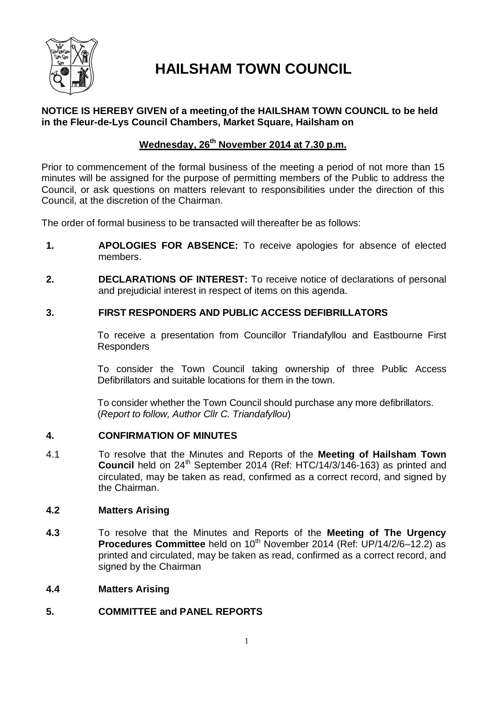

# **HAILSHAM TOWN COUNCIL**

### **NOTICE IS HEREBY GIVEN of a meeting of the HAILSHAM TOWN COUNCIL to be held in the Fleur-de-Lys Council Chambers, Market Square, Hailsham on**

### **Wednesday, 26th November 2014 at 7.30 p.m.**

Prior to commencement of the formal business of the meeting a period of not more than 15 minutes will be assigned for the purpose of permitting members of the Public to address the Council, or ask questions on matters relevant to responsibilities under the direction of this Council, at the discretion of the Chairman.

The order of formal business to be transacted will thereafter be as follows:

- **1. APOLOGIES FOR ABSENCE:** To receive apologies for absence of elected members.
- **2. DECLARATIONS OF INTEREST:** To receive notice of declarations of personal and prejudicial interest in respect of items on this agenda.

### **3. FIRST RESPONDERS AND PUBLIC ACCESS DEFIBRILLATORS**

To receive a presentation from Councillor Triandafyllou and Eastbourne First Responders

To consider the Town Council taking ownership of three Public Access Defibrillators and suitable locations for them in the town.

To consider whether the Town Council should purchase any more defibrillators. (*Report to follow, Author Cllr C. Triandafyllou*)

### **4. CONFIRMATION OF MINUTES**

4.1 To resolve that the Minutes and Reports of the **Meeting of Hailsham Town Council** held on 24<sup>th</sup> September 2014 (Ref: HTC/14/3/146-163) as printed and circulated, may be taken as read, confirmed as a correct record, and signed by the Chairman.

### **4.2 Matters Arising**

**4.3** To resolve that the Minutes and Reports of the **Meeting of The Urgency Procedures Committee** held on 10<sup>th</sup> November 2014 (Ref: UP/14/2/6–12.2) as printed and circulated, may be taken as read, confirmed as a correct record, and signed by the Chairman

### **4.4 Matters Arising**

### **5. COMMITTEE and PANEL REPORTS**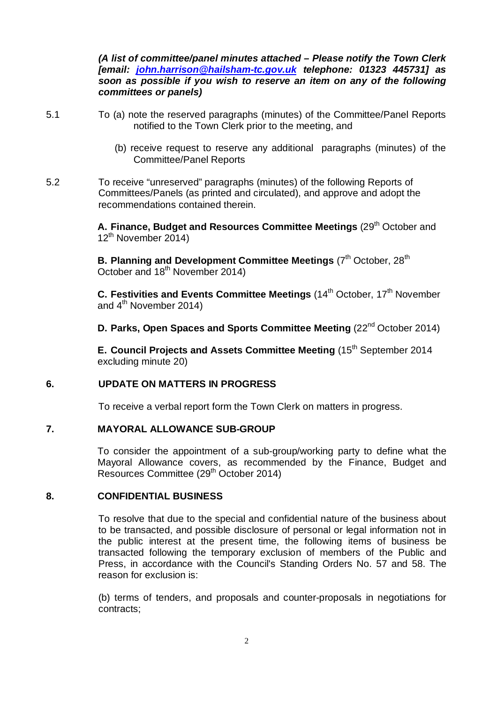*(A list of committee/panel minutes attached – Please notify the Town Clerk [email: john.harrison@hailsham-tc.gov.uk telephone: 01323 445731] as soon as possible if you wish to reserve an item on any of the following committees or panels)*

- 5.1 To (a) note the reserved paragraphs (minutes) of the Committee/Panel Reports notified to the Town Clerk prior to the meeting, and
	- (b) receive request to reserve any additional paragraphs (minutes) of the Committee/Panel Reports
- 5.2 To receive "unreserved" paragraphs (minutes) of the following Reports of Committees/Panels (as printed and circulated), and approve and adopt the recommendations contained therein.

A. Finance, Budget and Resources Committee Meetings (29<sup>th</sup> October and 12th November 2014)

**B. Planning and Development Committee Meetings (7<sup>th</sup> October, 28<sup>th</sup>)** October and 18<sup>th</sup> November 2014)

**C. Festivities and Events Committee Meetings (14<sup>th</sup> October, 17<sup>th</sup> November** and  $4<sup>th</sup>$  November 2014)

**D. Parks, Open Spaces and Sports Committee Meeting (22<sup>nd</sup> October 2014)** 

**E. Council Projects and Assets Committee Meeting (15<sup>th</sup> September 2014** excluding minute 20)

### **6. UPDATE ON MATTERS IN PROGRESS**

To receive a verbal report form the Town Clerk on matters in progress.

### **7. MAYORAL ALLOWANCE SUB-GROUP**

To consider the appointment of a sub-group/working party to define what the Mayoral Allowance covers, as recommended by the Finance, Budget and Resources Committee (29<sup>th</sup> October 2014)

### **8. CONFIDENTIAL BUSINESS**

To resolve that due to the special and confidential nature of the business about to be transacted, and possible disclosure of personal or legal information not in the public interest at the present time, the following items of business be transacted following the temporary exclusion of members of the Public and Press, in accordance with the Council's Standing Orders No. 57 and 58. The reason for exclusion is:

(b) terms of tenders, and proposals and counter-proposals in negotiations for contracts;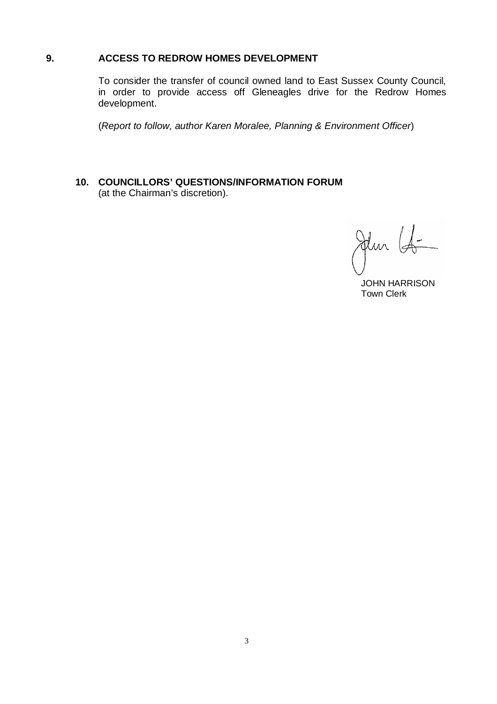### **9. ACCESS TO REDROW HOMES DEVELOPMENT**

To consider the transfer of council owned land to East Sussex County Council, in order to provide access off Gleneagles drive for the Redrow Homes development.

(*Report to follow, author Karen Moralee, Planning & Environment Officer*)

**10. COUNCILLORS' QUESTIONS/INFORMATION FORUM** (at the Chairman's discretion).

Jun 15

 JOHN HARRISON Town Clerk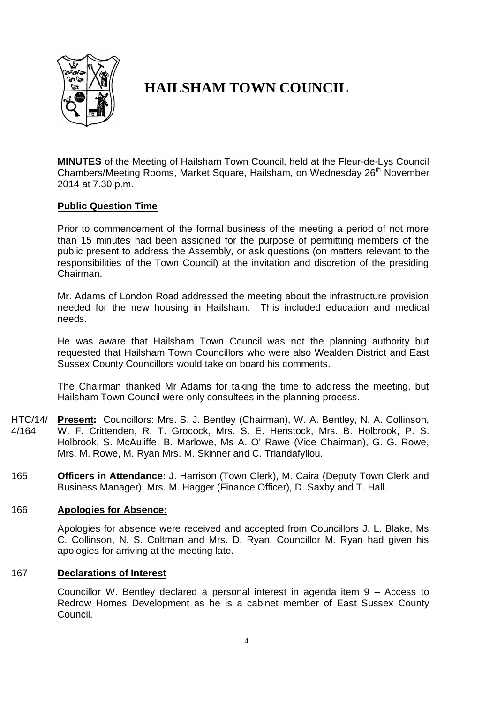

# **HAILSHAM TOWN COUNCIL**

**MINUTES** of the Meeting of Hailsham Town Council, held at the Fleur-de-Lys Council Chambers/Meeting Rooms, Market Square, Hailsham, on Wednesday 26<sup>th</sup> November 2014 at 7.30 p.m.

### **Public Question Time**

Prior to commencement of the formal business of the meeting a period of not more than 15 minutes had been assigned for the purpose of permitting members of the public present to address the Assembly, or ask questions (on matters relevant to the responsibilities of the Town Council) at the invitation and discretion of the presiding Chairman.

Mr. Adams of London Road addressed the meeting about the infrastructure provision needed for the new housing in Hailsham. This included education and medical needs.

He was aware that Hailsham Town Council was not the planning authority but requested that Hailsham Town Councillors who were also Wealden District and East Sussex County Councillors would take on board his comments.

The Chairman thanked Mr Adams for taking the time to address the meeting, but Hailsham Town Council were only consultees in the planning process.

- HTC/14/ 4/164 **Present:** Councillors: Mrs. S. J. Bentley (Chairman), W. A. Bentley, N. A. Collinson, W. F. Crittenden, R. T. Grocock, Mrs. S. E. Henstock, Mrs. B. Holbrook, P. S. Holbrook, S. McAuliffe, B. Marlowe, Ms A. O' Rawe (Vice Chairman), G. G. Rowe, Mrs. M. Rowe, M. Ryan Mrs. M. Skinner and C. Triandafyllou.
- 165 **Officers in Attendance:** J. Harrison (Town Clerk), M. Caira (Deputy Town Clerk and Business Manager), Mrs. M. Hagger (Finance Officer), D. Saxby and T. Hall.

### 166 **Apologies for Absence:**

Apologies for absence were received and accepted from Councillors J. L. Blake, Ms C. Collinson, N. S. Coltman and Mrs. D. Ryan. Councillor M. Ryan had given his apologies for arriving at the meeting late.

### 167 **Declarations of Interest**

Councillor W. Bentley declared a personal interest in agenda item 9 – Access to Redrow Homes Development as he is a cabinet member of East Sussex County Council.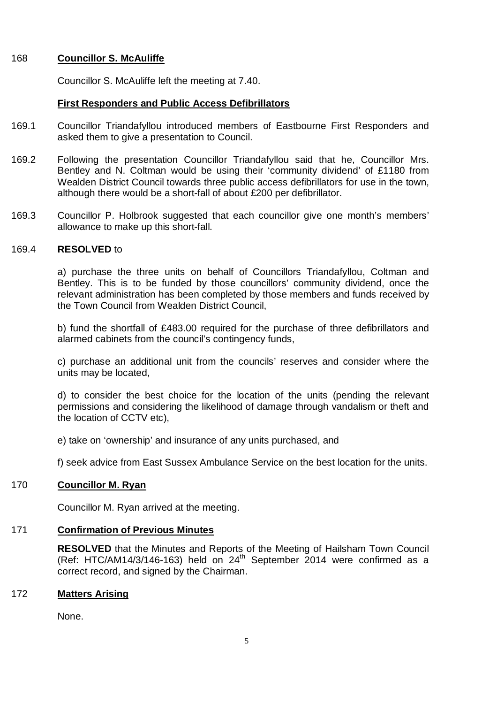### 168 **Councillor S. McAuliffe**

Councillor S. McAuliffe left the meeting at 7.40.

### **First Responders and Public Access Defibrillators**

- 169.1 Councillor Triandafyllou introduced members of Eastbourne First Responders and asked them to give a presentation to Council.
- 169.2 Following the presentation Councillor Triandafyllou said that he, Councillor Mrs. Bentley and N. Coltman would be using their 'community dividend' of £1180 from Wealden District Council towards three public access defibrillators for use in the town, although there would be a short-fall of about £200 per defibrillator.
- 169.3 Councillor P. Holbrook suggested that each councillor give one month's members' allowance to make up this short-fall.

#### 169.4 **RESOLVED** to

a) purchase the three units on behalf of Councillors Triandafyllou, Coltman and Bentley. This is to be funded by those councillors' community dividend, once the relevant administration has been completed by those members and funds received by the Town Council from Wealden District Council,

b) fund the shortfall of £483.00 required for the purchase of three defibrillators and alarmed cabinets from the council's contingency funds,

c) purchase an additional unit from the councils' reserves and consider where the units may be located,

d) to consider the best choice for the location of the units (pending the relevant permissions and considering the likelihood of damage through vandalism or theft and the location of CCTV etc),

e) take on 'ownership' and insurance of any units purchased, and

f) seek advice from East Sussex Ambulance Service on the best location for the units.

### 170 **Councillor M. Ryan**

Councillor M. Ryan arrived at the meeting.

# 171 **Confirmation of Previous Minutes**

**RESOLVED** that the Minutes and Reports of the Meeting of Hailsham Town Council (Ref: HTC/AM14/3/146-163) held on 24<sup>th</sup> September 2014 were confirmed as a correct record, and signed by the Chairman.

# 172 **Matters Arising**

None.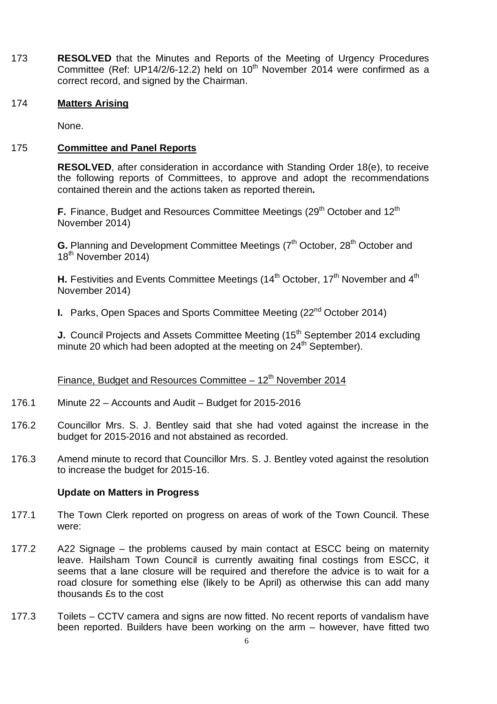173 **RESOLVED** that the Minutes and Reports of the Meeting of Urgency Procedures Committee (Ref: UP14/2/6-12.2) held on  $10^{th}$  November 2014 were confirmed as a correct record, and signed by the Chairman.

### 174 **Matters Arising**

None.

### 175 **Committee and Panel Reports**

**RESOLVED**, after consideration in accordance with Standing Order 18(e), to receive the following reports of Committees, to approve and adopt the recommendations contained therein and the actions taken as reported therein**.**

**F.** Finance, Budget and Resources Committee Meetings (29<sup>th</sup> October and 12<sup>th</sup> November 2014)

**G.** Planning and Development Committee Meetings (7<sup>th</sup> October, 28<sup>th</sup> October and 18<sup>th</sup> November 2014)

**H.** Festivities and Events Committee Meetings (14<sup>th</sup> October, 17<sup>th</sup> November and 4<sup>th</sup> November 2014)

**I.** Parks, Open Spaces and Sports Committee Meeting (22<sup>nd</sup> October 2014)

**J.** Council Projects and Assets Committee Meeting (15<sup>th</sup> September 2014 excluding minute 20 which had been adopted at the meeting on  $24<sup>th</sup>$  September).

# Finance, Budget and Resources Committee  $-12<sup>th</sup>$  November 2014

- 176.1 Minute 22 – Accounts and Audit – Budget for 2015-2016
- 176.2 Councillor Mrs. S. J. Bentley said that she had voted against the increase in the budget for 2015-2016 and not abstained as recorded.
- 176.3 Amend minute to record that Councillor Mrs. S. J. Bentley voted against the resolution to increase the budget for 2015-16.

### **Update on Matters in Progress**

- 177.1 The Town Clerk reported on progress on areas of work of the Town Council. These were:
- 177.2 A22 Signage – the problems caused by main contact at ESCC being on maternity leave. Hailsham Town Council is currently awaiting final costings from ESCC, it seems that a lane closure will be required and therefore the advice is to wait for a road closure for something else (likely to be April) as otherwise this can add many thousands £s to the cost
- 177.3 Toilets – CCTV camera and signs are now fitted. No recent reports of vandalism have been reported. Builders have been working on the arm – however, have fitted two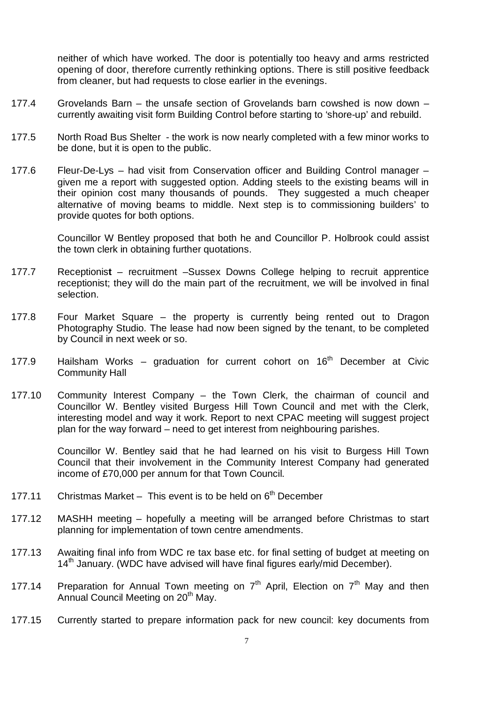neither of which have worked. The door is potentially too heavy and arms restricted opening of door, therefore currently rethinking options. There is still positive feedback from cleaner, but had requests to close earlier in the evenings.

- 177.4 Grovelands Barn – the unsafe section of Grovelands barn cowshed is now down – currently awaiting visit form Building Control before starting to 'shore-up' and rebuild.
- 177.5 North Road Bus Shelter - the work is now nearly completed with a few minor works to be done, but it is open to the public.
- 177.6 Fleur-De-Lys – had visit from Conservation officer and Building Control manager – given me a report with suggested option. Adding steels to the existing beams will in their opinion cost many thousands of pounds. They suggested a much cheaper alternative of moving beams to middle. Next step is to commissioning builders' to provide quotes for both options.

Councillor W Bentley proposed that both he and Councillor P. Holbrook could assist the town clerk in obtaining further quotations.

- 177.7 Receptionis**t** – recruitment –Sussex Downs College helping to recruit apprentice receptionist; they will do the main part of the recruitment, we will be involved in final selection.
- 177.8 Four Market Square – the property is currently being rented out to Dragon Photography Studio. The lease had now been signed by the tenant, to be completed by Council in next week or so.
- 177.9 Hailsham Works – graduation for current cohort on  $16<sup>th</sup>$  December at Civic Community Hall
- 177.10 Community Interest Company – the Town Clerk, the chairman of council and Councillor W. Bentley visited Burgess Hill Town Council and met with the Clerk, interesting model and way it work. Report to next CPAC meeting will suggest project plan for the way forward – need to get interest from neighbouring parishes.

Councillor W. Bentley said that he had learned on his visit to Burgess Hill Town Council that their involvement in the Community Interest Company had generated income of £70,000 per annum for that Town Council.

- 177.11 Christmas Market  $-$  This event is to be held on  $6<sup>th</sup>$  December
- 177.12 MASHH meeting – hopefully a meeting will be arranged before Christmas to start planning for implementation of town centre amendments.
- 177.13 Awaiting final info from WDC re tax base etc. for final setting of budget at meeting on 14<sup>th</sup> January. (WDC have advised will have final figures early/mid December).
- 177.14 Preparation for Annual Town meeting on  $7<sup>th</sup>$  April, Election on  $7<sup>th</sup>$  May and then Annual Council Meeting on 20<sup>th</sup> May.
- 177.15 Currently started to prepare information pack for new council: key documents from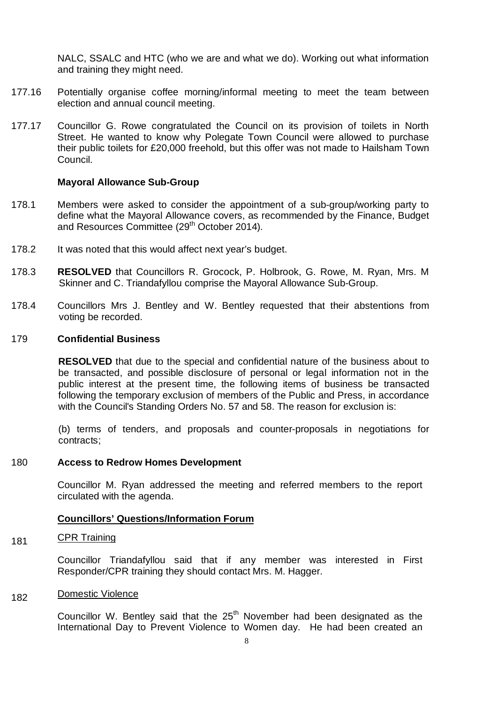NALC, SSALC and HTC (who we are and what we do). Working out what information and training they might need.

- 177.16 Potentially organise coffee morning/informal meeting to meet the team between election and annual council meeting.
- 177.17 Councillor G. Rowe congratulated the Council on its provision of toilets in North Street. He wanted to know why Polegate Town Council were allowed to purchase their public toilets for £20,000 freehold, but this offer was not made to Hailsham Town Council.

### **Mayoral Allowance Sub-Group**

- 178.1 Members were asked to consider the appointment of a sub-group/working party to define what the Mayoral Allowance covers, as recommended by the Finance, Budget and Resources Committee (29<sup>th</sup> October 2014).
- 178.2 It was noted that this would affect next year's budget.
- 178.3 **RESOLVED** that Councillors R. Grocock, P. Holbrook, G. Rowe, M. Ryan, Mrs. M Skinner and C. Triandafyllou comprise the Mayoral Allowance Sub-Group.
- 178.4 Councillors Mrs J. Bentley and W. Bentley requested that their abstentions from voting be recorded.

### 179 **Confidential Business**

**RESOLVED** that due to the special and confidential nature of the business about to be transacted, and possible disclosure of personal or legal information not in the public interest at the present time, the following items of business be transacted following the temporary exclusion of members of the Public and Press, in accordance with the Council's Standing Orders No. 57 and 58. The reason for exclusion is:

(b) terms of tenders, and proposals and counter-proposals in negotiations for contracts;

#### 180 **Access to Redrow Homes Development**

Councillor M. Ryan addressed the meeting and referred members to the report circulated with the agenda.

#### **Councillors' Questions/Information Forum**

#### 181 CPR Training

Councillor Triandafyllou said that if any member was interested in First Responder/CPR training they should contact Mrs. M. Hagger.

#### 182 Domestic Violence

Councillor W. Bentley said that the  $25<sup>th</sup>$  November had been designated as the International Day to Prevent Violence to Women day. He had been created an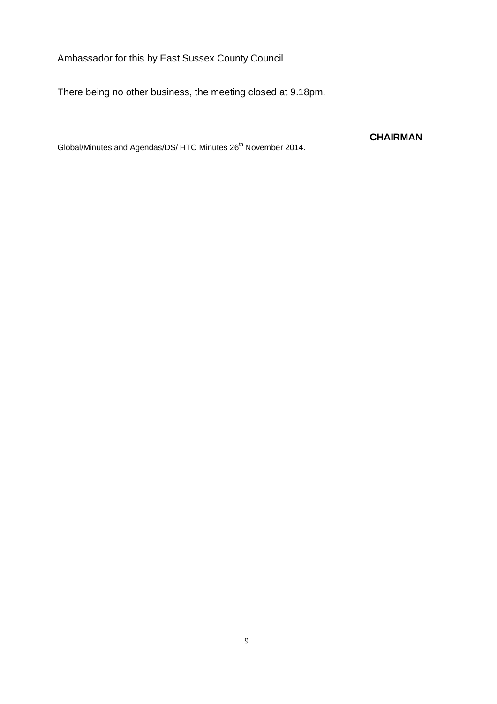Ambassador for this by East Sussex County Council

There being no other business, the meeting closed at 9.18pm.

Global/Minutes and Agendas/DS/ HTC Minutes 26<sup>th</sup> November 2014.

**CHAIRMAN**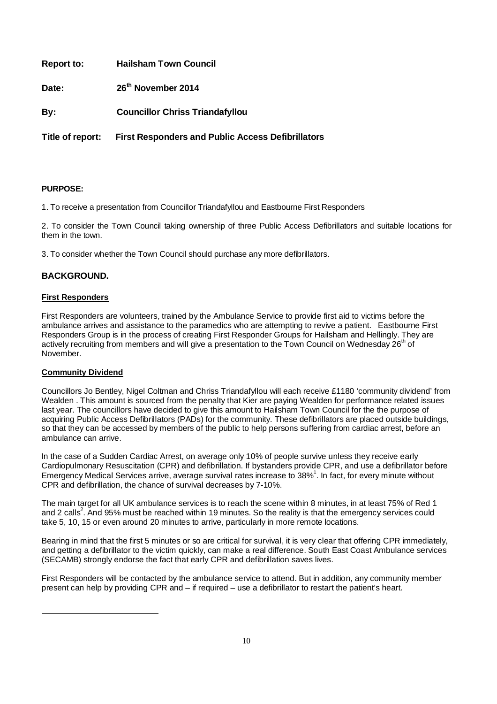| <b>Report to:</b> | <b>Hailsham Town Council</b> |
|-------------------|------------------------------|
|-------------------|------------------------------|

**Date: 26th November 2014** 

**By: Councillor Chriss Triandafyllou**

**Title of report: First Responders and Public Access Defibrillators**

#### **PURPOSE:**

1. To receive a presentation from Councillor Triandafyllou and Eastbourne First Responders

2. To consider the Town Council taking ownership of three Public Access Defibrillators and suitable locations for them in the town.

3. To consider whether the Town Council should purchase any more defibrillators.

### **BACKGROUND.**

#### **First Responders**

First Responders are volunteers, trained by the Ambulance Service to provide first aid to victims before the ambulance arrives and assistance to the paramedics who are attempting to revive a patient. Eastbourne First Responders Group is in the process of creating First Responder Groups for Hailsham and Hellingly. They are actively recruiting from members and will give a presentation to the Town Council on Wednesday  $26<sup>th</sup>$  of November.

### **Community Dividend**

j

Councillors Jo Bentley, Nigel Coltman and Chriss Triandafyllou will each receive £1180 'community dividend' from Wealden . This amount is sourced from the penalty that Kier are paying Wealden for performance related issues last year. The councillors have decided to give this amount to Hailsham Town Council for the the purpose of acquiring Public Access Defibrillators (PADs) for the community. These defibrillators are placed outside buildings, so that they can be accessed by members of the public to help persons suffering from cardiac arrest, before an ambulance can arrive.

In the case of a Sudden Cardiac Arrest, on average only 10% of people survive unless they receive early Cardiopulmonary Resuscitation (CPR) and defibrillation. If bystanders provide CPR, and use a defibrillator before Emergency Medical Services arrive, average survival rates increase to 38% $^1$ . In fact, for every minute without CPR and defibrillation, the chance of survival decreases by 7-10%.

The main target for all UK ambulance services is to reach the scene within 8 minutes, in at least 75% of Red 1 and 2 calls<sup>2</sup>. And 95% must be reached within 19 minutes. So the reality is that the emergency services could take 5, 10, 15 or even around 20 minutes to arrive, particularly in more remote locations.

Bearing in mind that the first 5 minutes or so are critical for survival, it is very clear that offering CPR immediately, and getting a defibrillator to the victim quickly, can make a real difference. South East Coast Ambulance services (SECAMB) strongly endorse the fact that early CPR and defibrillation saves lives.

First Responders will be contacted by the ambulance service to attend. But in addition, any community member present can help by providing CPR and – if required – use a defibrillator to restart the patient's heart.